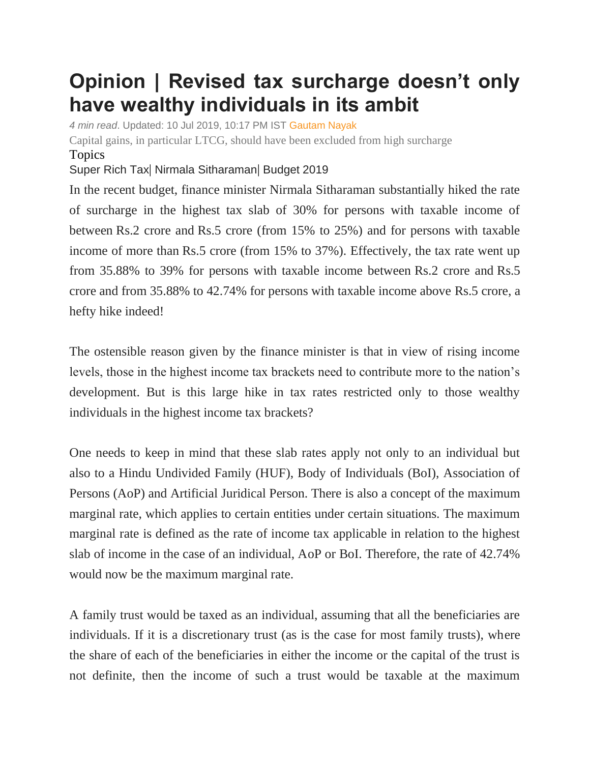## **Opinion | Revised tax surcharge doesn't only have wealthy individuals in its ambit**

*4 min read*. Updated: 10 Jul 2019, 10:17 PM IST [Gautam Nayak](https://www.livemint.com/Search/Link/Author/Gautam%20Nayak)

Capital gains, in particular LTCG, should have been excluded from high surcharge Topics

[Super](https://www.livemint.com/topic/super-rich-tax) Rich Tax| [Nirmala Sitharaman](https://www.livemint.com/topic/nirmala-sitharaman)| [Budget 2019](https://www.livemint.com/topic/budget-2019)

In the recent budget, finance minister Nirmala Sitharaman substantially hiked the rate of surcharge in the highest tax slab of 30% for persons with taxable income of between Rs.2 crore and Rs.5 crore (from 15% to 25%) and for persons with taxable income of more than Rs.5 crore (from 15% to 37%). Effectively, the tax rate went up from 35.88% to 39% for persons with taxable income between Rs.2 crore and Rs.5 crore and from 35.88% to 42.74% for persons with taxable income above Rs.5 crore, a hefty hike indeed!

The ostensible reason given by the finance minister is that in view of rising income levels, those in the highest income tax brackets need to contribute more to the nation's development. But is this large hike in tax rates restricted only to those wealthy individuals in the highest income tax brackets?

One needs to keep in mind that these slab rates apply not only to an individual but also to a Hindu Undivided Family (HUF), Body of Individuals (BoI), Association of Persons (AoP) and Artificial Juridical Person. There is also a concept of the maximum marginal rate, which applies to certain entities under certain situations. The maximum marginal rate is defined as the rate of income tax applicable in relation to the highest slab of income in the case of an individual, AoP or BoI. Therefore, the rate of 42.74% would now be the maximum marginal rate.

A family trust would be taxed as an individual, assuming that all the beneficiaries are individuals. If it is a discretionary trust (as is the case for most family trusts), where the share of each of the beneficiaries in either the income or the capital of the trust is not definite, then the income of such a trust would be taxable at the maximum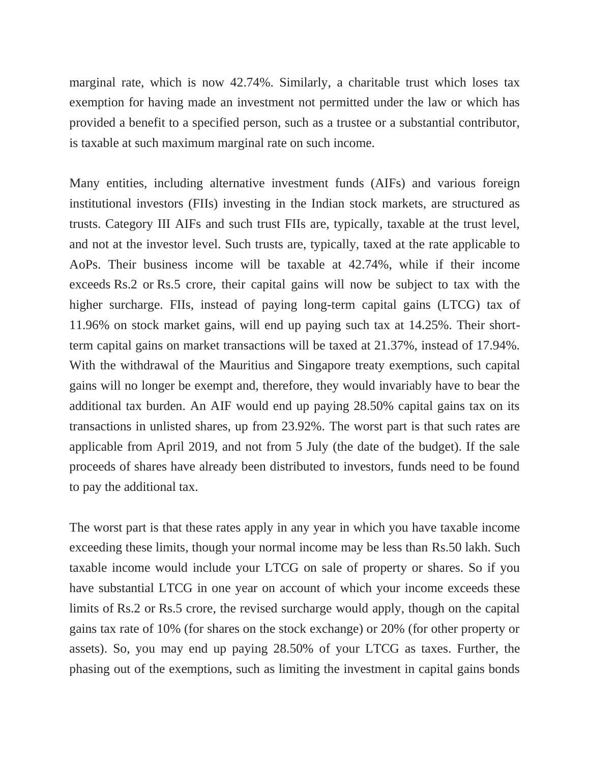marginal rate, which is now 42.74%. Similarly, a charitable trust which loses tax exemption for having made an investment not permitted under the law or which has provided a benefit to a specified person, such as a trustee or a substantial contributor, is taxable at such maximum marginal rate on such income.

Many entities, including alternative investment funds (AIFs) and various foreign institutional investors (FIIs) investing in the Indian stock markets, are structured as trusts. Category III AIFs and such trust FIIs are, typically, taxable at the trust level, and not at the investor level. Such trusts are, typically, taxed at the rate applicable to AoPs. Their business income will be taxable at 42.74%, while if their income exceeds Rs.2 or Rs.5 crore, their capital gains will now be subject to tax with the higher surcharge. FIIs, instead of paying long-term capital gains (LTCG) tax of 11.96% on stock market gains, will end up paying such tax at 14.25%. Their shortterm capital gains on market transactions will be taxed at 21.37%, instead of 17.94%. With the withdrawal of the Mauritius and Singapore treaty exemptions, such capital gains will no longer be exempt and, therefore, they would invariably have to bear the additional tax burden. An AIF would end up paying 28.50% capital gains tax on its transactions in unlisted shares, up from 23.92%. The worst part is that such rates are applicable from April 2019, and not from 5 July (the date of the budget). If the sale proceeds of shares have already been distributed to investors, funds need to be found to pay the additional tax.

The worst part is that these rates apply in any year in which you have taxable income exceeding these limits, though your normal income may be less than Rs.50 lakh. Such taxable income would include your LTCG on sale of property or shares. So if you have substantial LTCG in one year on account of which your income exceeds these limits of Rs.2 or Rs.5 crore, the revised surcharge would apply, though on the capital gains tax rate of 10% (for shares on the stock exchange) or 20% (for other property or assets). So, you may end up paying 28.50% of your LTCG as taxes. Further, the phasing out of the exemptions, such as limiting the investment in capital gains bonds